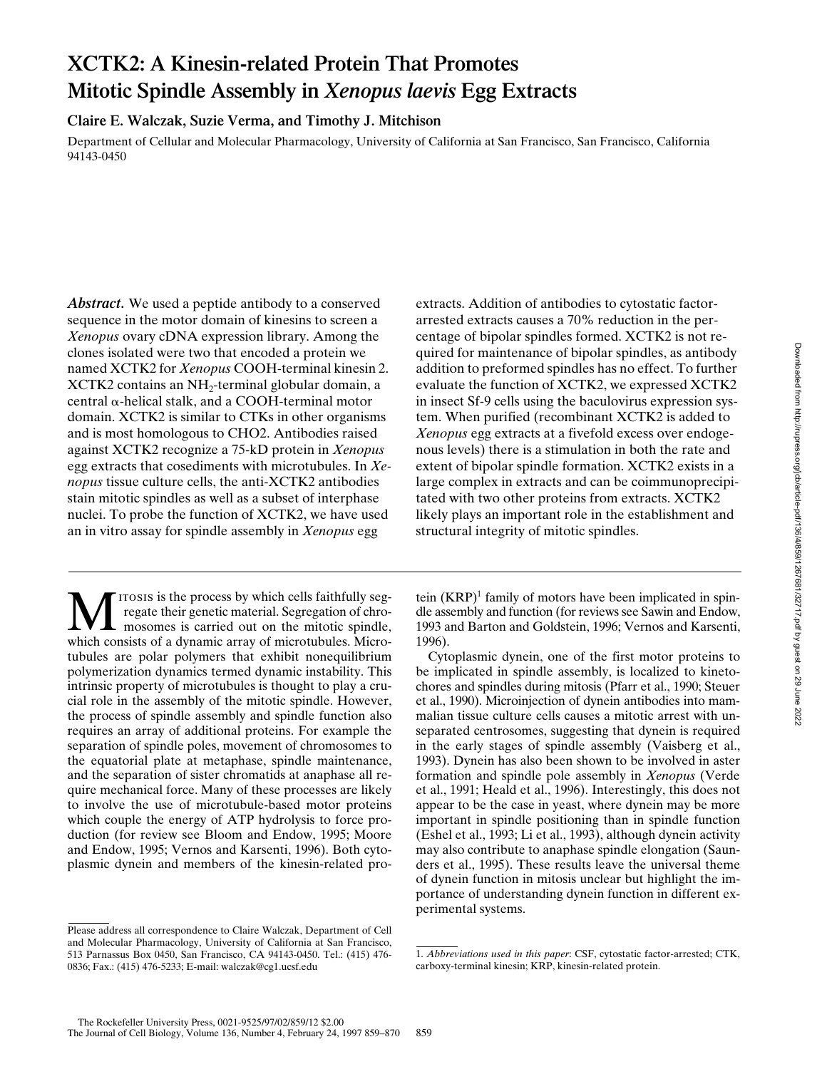# **XCTK2: A Kinesin-related Protein That Promotes Mitotic Spindle Assembly in** *Xenopus laevis* **Egg Extracts**

**Claire E. Walczak, Suzie Verma, and Timothy J. Mitchison**

Department of Cellular and Molecular Pharmacology, University of California at San Francisco, San Francisco, California 94143-0450

*Abstract.* We used a peptide antibody to a conserved sequence in the motor domain of kinesins to screen a *Xenopus* ovary cDNA expression library. Among the clones isolated were two that encoded a protein we named XCTK2 for *Xenopus* COOH-terminal kinesin 2.  $XCTK2$  contains an  $NH<sub>2</sub>$ -terminal globular domain, a central  $\alpha$ -helical stalk, and a COOH-terminal motor domain. XCTK2 is similar to CTKs in other organisms and is most homologous to CHO2. Antibodies raised against XCTK2 recognize a 75-kD protein in *Xenopus* egg extracts that cosediments with microtubules. In *Xenopus* tissue culture cells, the anti-XCTK2 antibodies stain mitotic spindles as well as a subset of interphase nuclei. To probe the function of XCTK2, we have used an in vitro assay for spindle assembly in *Xenopus* egg

ITOSIS is the process by which cells faithfully segregate their genetic material. Segregation of chromosomes is carried out on the mitotic spindle, which consists of a dynamic array of microtubules. Microtubules are polar polymers that exhibit nonequilibrium polymerization dynamics termed dynamic instability. This intrinsic property of microtubules is thought to play a crucial role in the assembly of the mitotic spindle. However, the process of spindle assembly and spindle function also requires an array of additional proteins. For example the separation of spindle poles, movement of chromosomes to the equatorial plate at metaphase, spindle maintenance, and the separation of sister chromatids at anaphase all require mechanical force. Many of these processes are likely to involve the use of microtubule-based motor proteins which couple the energy of ATP hydrolysis to force production (for review see Bloom and Endow, 1995; Moore and Endow, 1995; Vernos and Karsenti, 1996). Both cytoplasmic dynein and members of the kinesin-related pro-

Please address all correspondence to Claire Walczak, Department of Cell and Molecular Pharmacology, University of California at San Francisco, 513 Parnassus Box 0450, San Francisco, CA 94143-0450. Tel.: (415) 476- 0836; Fax.: (415) 476-5233; E-mail: walczak@cg1.ucsf.edu

extracts. Addition of antibodies to cytostatic factorarrested extracts causes a 70% reduction in the percentage of bipolar spindles formed. XCTK2 is not required for maintenance of bipolar spindles, as antibody addition to preformed spindles has no effect. To further evaluate the function of XCTK2, we expressed XCTK2 in insect Sf-9 cells using the baculovirus expression system. When purified (recombinant XCTK2 is added to *Xenopus* egg extracts at a fivefold excess over endogenous levels) there is a stimulation in both the rate and extent of bipolar spindle formation. XCTK2 exists in a large complex in extracts and can be coimmunoprecipitated with two other proteins from extracts. XCTK2 likely plays an important role in the establishment and structural integrity of mitotic spindles.

tein  $(KRP)^1$  family of motors have been implicated in spindle assembly and function (for reviews see Sawin and Endow, 1993 and Barton and Goldstein, 1996; Vernos and Karsenti, 1996).

Cytoplasmic dynein, one of the first motor proteins to be implicated in spindle assembly, is localized to kinetochores and spindles during mitosis (Pfarr et al., 1990; Steuer et al., 1990). Microinjection of dynein antibodies into mammalian tissue culture cells causes a mitotic arrest with unseparated centrosomes, suggesting that dynein is required in the early stages of spindle assembly (Vaisberg et al., 1993). Dynein has also been shown to be involved in aster formation and spindle pole assembly in *Xenopus* (Verde et al., 1991; Heald et al., 1996). Interestingly, this does not appear to be the case in yeast, where dynein may be more important in spindle positioning than in spindle function (Eshel et al., 1993; Li et al., 1993), although dynein activity may also contribute to anaphase spindle elongation (Saunders et al., 1995). These results leave the universal theme of dynein function in mitosis unclear but highlight the importance of understanding dynein function in different experimental systems.

<sup>1.</sup> *Abbreviations used in this paper*: CSF, cytostatic factor-arrested; CTK, carboxy-terminal kinesin; KRP, kinesin-related protein.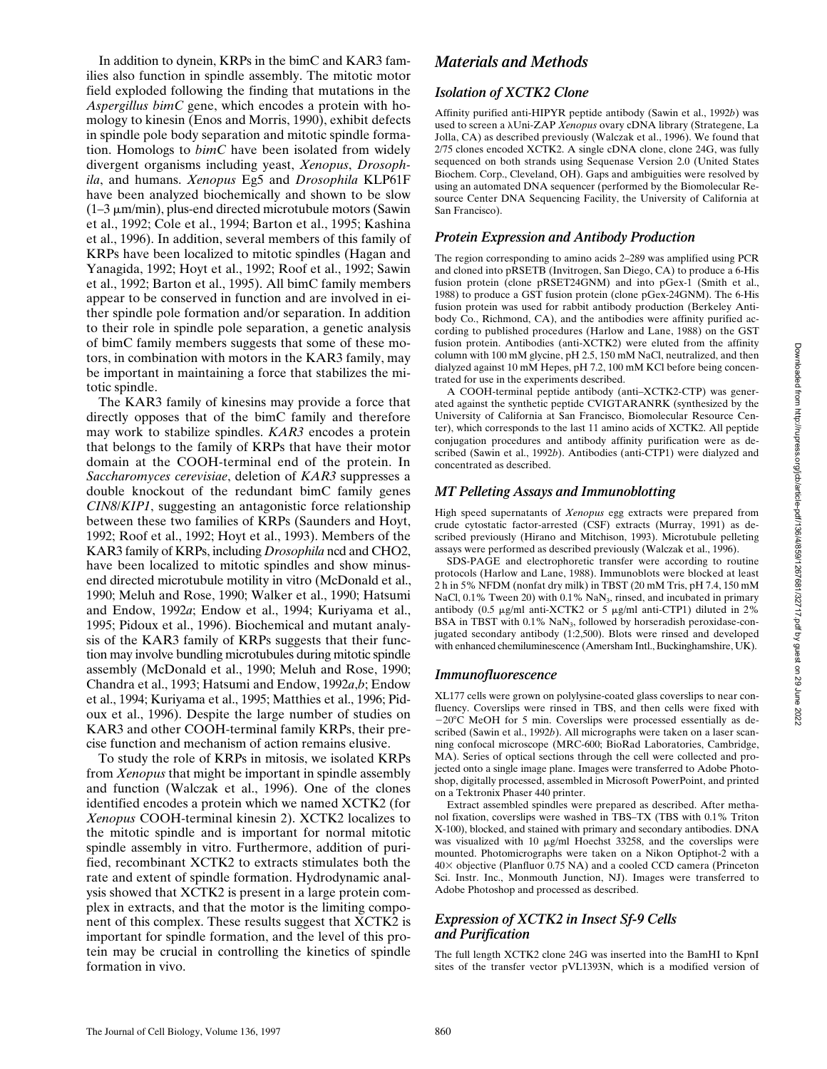In addition to dynein, KRPs in the bimC and KAR3 families also function in spindle assembly. The mitotic motor field exploded following the finding that mutations in the *Aspergillus bimC* gene, which encodes a protein with homology to kinesin (Enos and Morris, 1990), exhibit defects in spindle pole body separation and mitotic spindle formation. Homologs to *bimC* have been isolated from widely divergent organisms including yeast, *Xenopus*, *Drosophila*, and humans. *Xenopus* Eg5 and *Drosophila* KLP61F have been analyzed biochemically and shown to be slow  $(1-3 \mu m/min)$ , plus-end directed microtubule motors (Sawin et al., 1992; Cole et al., 1994; Barton et al., 1995; Kashina et al., 1996). In addition, several members of this family of KRPs have been localized to mitotic spindles (Hagan and Yanagida, 1992; Hoyt et al., 1992; Roof et al., 1992; Sawin et al., 1992; Barton et al., 1995). All bimC family members appear to be conserved in function and are involved in either spindle pole formation and/or separation. In addition to their role in spindle pole separation, a genetic analysis of bimC family members suggests that some of these motors, in combination with motors in the KAR3 family, may be important in maintaining a force that stabilizes the mitotic spindle.

The KAR3 family of kinesins may provide a force that directly opposes that of the bimC family and therefore may work to stabilize spindles. *KAR3* encodes a protein that belongs to the family of KRPs that have their motor domain at the COOH-terminal end of the protein. In *Saccharomyces cerevisiae*, deletion of *KAR3* suppresses a double knockout of the redundant bimC family genes *CIN8*/*KIP1*, suggesting an antagonistic force relationship between these two families of KRPs (Saunders and Hoyt, 1992; Roof et al., 1992; Hoyt et al., 1993). Members of the KAR3 family of KRPs, including *Drosophila* ncd and CHO2, have been localized to mitotic spindles and show minusend directed microtubule motility in vitro (McDonald et al., 1990; Meluh and Rose, 1990; Walker et al., 1990; Hatsumi and Endow, 1992*a*; Endow et al., 1994; Kuriyama et al., 1995; Pidoux et al., 1996). Biochemical and mutant analysis of the KAR3 family of KRPs suggests that their function may involve bundling microtubules during mitotic spindle assembly (McDonald et al., 1990; Meluh and Rose, 1990; Chandra et al., 1993; Hatsumi and Endow, 1992*a*,*b*; Endow et al., 1994; Kuriyama et al., 1995; Matthies et al., 1996; Pidoux et al., 1996). Despite the large number of studies on KAR3 and other COOH-terminal family KRPs, their precise function and mechanism of action remains elusive.

To study the role of KRPs in mitosis, we isolated KRPs from *Xenopus* that might be important in spindle assembly and function (Walczak et al., 1996). One of the clones identified encodes a protein which we named XCTK2 (for *Xenopus* COOH-terminal kinesin 2). XCTK2 localizes to the mitotic spindle and is important for normal mitotic spindle assembly in vitro. Furthermore, addition of purified, recombinant XCTK2 to extracts stimulates both the rate and extent of spindle formation. Hydrodynamic analysis showed that XCTK2 is present in a large protein complex in extracts, and that the motor is the limiting component of this complex. These results suggest that XCTK2 is important for spindle formation, and the level of this protein may be crucial in controlling the kinetics of spindle formation in vivo.

## *Materials and Methods*

## *Isolation of XCTK2 Clone*

Affinity purified anti-HIPYR peptide antibody (Sawin et al., 1992*b*) was used to screen a lUni-ZAP *Xenopus* ovary cDNA library (Strategene, La Jolla, CA) as described previously (Walczak et al., 1996). We found that 2/75 clones encoded XCTK2. A single cDNA clone, clone 24G, was fully sequenced on both strands using Sequenase Version 2.0 (United States Biochem. Corp., Cleveland, OH). Gaps and ambiguities were resolved by using an automated DNA sequencer (performed by the Biomolecular Resource Center DNA Sequencing Facility, the University of California at San Francisco).

## *Protein Expression and Antibody Production*

The region corresponding to amino acids 2–289 was amplified using PCR and cloned into pRSETB (Invitrogen, San Diego, CA) to produce a 6-His fusion protein (clone pRSET24GNM) and into pGex-1 (Smith et al., 1988) to produce a GST fusion protein (clone pGex-24GNM). The 6-His fusion protein was used for rabbit antibody production (Berkeley Antibody Co., Richmond, CA), and the antibodies were affinity purified according to published procedures (Harlow and Lane, 1988) on the GST fusion protein. Antibodies (anti-XCTK2) were eluted from the affinity column with 100 mM glycine, pH 2.5, 150 mM NaCl, neutralized, and then dialyzed against 10 mM Hepes, pH 7.2, 100 mM KCl before being concentrated for use in the experiments described.

A COOH-terminal peptide antibody (anti–XCTK2-CTP) was generated against the synthetic peptide CVIGTARANRK (synthesized by the University of California at San Francisco, Biomolecular Resource Center), which corresponds to the last 11 amino acids of XCTK2. All peptide conjugation procedures and antibody affinity purification were as described (Sawin et al., 1992*b*). Antibodies (anti-CTP1) were dialyzed and concentrated as described.

## *MT Pelleting Assays and Immunoblotting*

High speed supernatants of *Xenopus* egg extracts were prepared from crude cytostatic factor-arrested (CSF) extracts (Murray, 1991) as described previously (Hirano and Mitchison, 1993). Microtubule pelleting assays were performed as described previously (Walczak et al., 1996).

SDS-PAGE and electrophoretic transfer were according to routine protocols (Harlow and Lane, 1988). Immunoblots were blocked at least 2 h in 5% NFDM (nonfat dry milk) in TBST (20 mM Tris, pH 7.4, 150 mM NaCl, 0.1% Tween 20) with 0.1% NaN<sub>3</sub>, rinsed, and incubated in primary antibody (0.5  $\mu$ g/ml anti-XCTK2 or 5  $\mu$ g/ml anti-CTP1) diluted in 2% BSA in TBST with  $0.1\%$  NaN<sub>3</sub>, followed by horseradish peroxidase-conjugated secondary antibody (1:2,500). Blots were rinsed and developed with enhanced chemiluminescence (Amersham Intl., Buckinghamshire, UK).

## *Immunofluorescence*

XL177 cells were grown on polylysine-coated glass coverslips to near confluency. Coverslips were rinsed in TBS, and then cells were fixed with  $-20^{\circ}$ C MeOH for 5 min. Coverslips were processed essentially as described (Sawin et al., 1992*b*). All micrographs were taken on a laser scanning confocal microscope (MRC-600; BioRad Laboratories, Cambridge, MA). Series of optical sections through the cell were collected and projected onto a single image plane. Images were transferred to Adobe Photoshop, digitally processed, assembled in Microsoft PowerPoint, and printed on a Tektronix Phaser 440 printer.

Extract assembled spindles were prepared as described. After methanol fixation, coverslips were washed in TBS–TX (TBS with 0.1% Triton X-100), blocked, and stained with primary and secondary antibodies. DNA was visualized with 10  $\mu$ g/ml Hoechst 33258, and the coverslips were mounted. Photomicrographs were taken on a Nikon Optiphot-2 with a 403 objective (Planfluor 0.75 NA) and a cooled CCD camera (Princeton Sci. Instr. Inc., Monmouth Junction, NJ). Images were transferred to Adobe Photoshop and processed as described.

## *Expression of XCTK2 in Insect Sf-9 Cells and Purification*

The full length XCTK2 clone 24G was inserted into the BamHI to KpnI sites of the transfer vector pVL1393N, which is a modified version of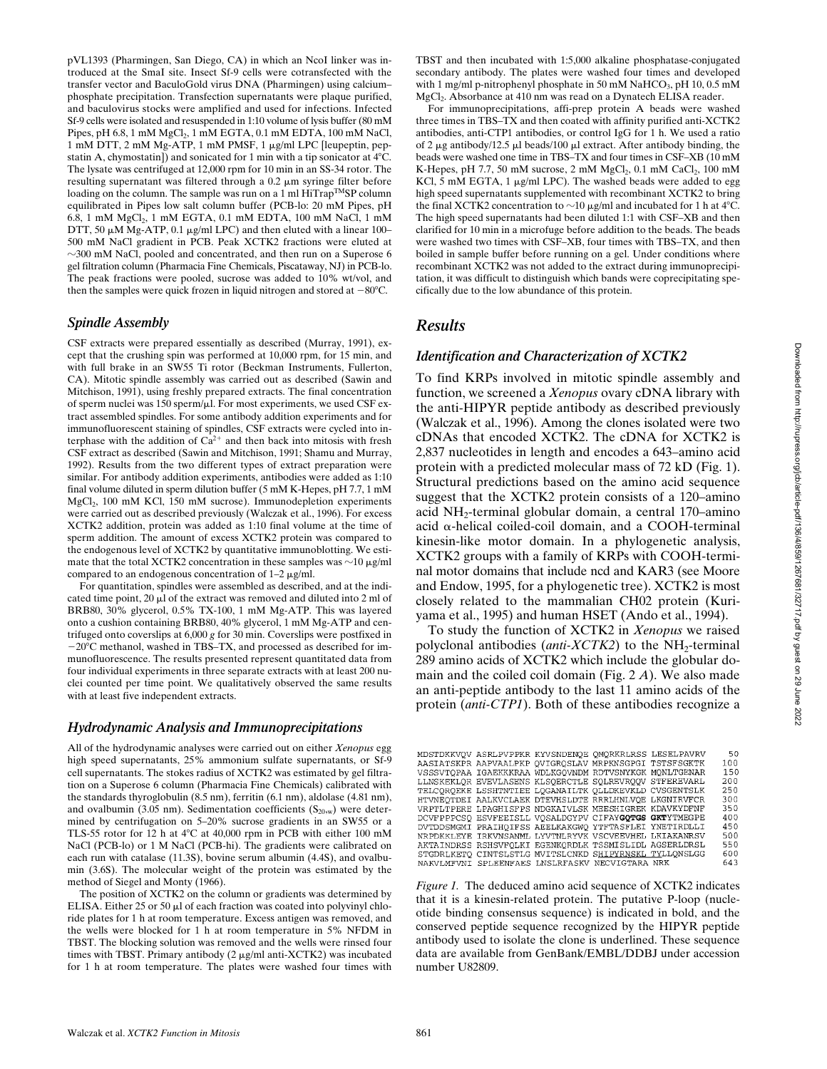pVL1393 (Pharmingen, San Diego, CA) in which an NcoI linker was introduced at the SmaI site. Insect Sf-9 cells were cotransfected with the transfer vector and BaculoGold virus DNA (Pharmingen) using calcium– phosphate precipitation. Transfection supernatants were plaque purified, and baculovirus stocks were amplified and used for infections. Infected Sf-9 cells were isolated and resuspended in 1:10 volume of lysis buffer (80 mM Pipes, pH 6.8, 1 mM  $MgCl<sub>2</sub>$ , 1 mM EGTA, 0.1 mM EDTA, 100 mM NaCl, 1 mM DTT, 2 mM Mg-ATP, 1 mM PMSF, 1 μg/ml LPC [leupeptin, pepstatin A, chymostatin]) and sonicated for 1 min with a tip sonicator at  $4^{\circ}$ C. The lysate was centrifuged at 12,000 rpm for 10 min in an SS-34 rotor. The resulting supernatant was filtered through a  $0.2 \mu m$  syringe filter before loading on the column. The sample was run on a 1 ml  $\text{HiTrap^{TM}SP}$  column equilibrated in Pipes low salt column buffer (PCB-lo: 20 mM Pipes, pH 6.8, 1 mM  $MgCl<sub>2</sub>$ , 1 mM EGTA, 0.1 mM EDTA, 100 mM NaCl, 1 mM DTT, 50  $\mu$ M Mg-ATP, 0.1  $\mu$ g/ml LPC) and then eluted with a linear 100– 500 mM NaCl gradient in PCB. Peak XCTK2 fractions were eluted at  $\sim$ 300 mM NaCl, pooled and concentrated, and then run on a Superose 6 gel filtration column (Pharmacia Fine Chemicals, Piscataway, NJ) in PCB-lo. The peak fractions were pooled, sucrose was added to 10% wt/vol, and then the samples were quick frozen in liquid nitrogen and stored at  $-80^{\circ}$ C.

## *Spindle Assembly*

CSF extracts were prepared essentially as described (Murray, 1991), except that the crushing spin was performed at 10,000 rpm, for 15 min, and with full brake in an SW55 Ti rotor (Beckman Instruments, Fullerton, CA). Mitotic spindle assembly was carried out as described (Sawin and Mitchison, 1991), using freshly prepared extracts. The final concentration of sperm nuclei was  $150$  sperm/ $\mu$ l. For most experiments, we used CSF extract assembled spindles. For some antibody addition experiments and for immunofluorescent staining of spindles, CSF extracts were cycled into interphase with the addition of  $Ca^{2+}$  and then back into mitosis with fresh CSF extract as described (Sawin and Mitchison, 1991; Shamu and Murray, 1992). Results from the two different types of extract preparation were similar. For antibody addition experiments, antibodies were added as 1:10 final volume diluted in sperm dilution buffer (5 mM K-Hepes, pH 7.7, 1 mM MgCl<sub>2</sub>, 100 mM KCl, 150 mM sucrose). Immunodepletion experiments were carried out as described previously (Walczak et al., 1996). For excess XCTK2 addition, protein was added as 1:10 final volume at the time of sperm addition. The amount of excess XCTK2 protein was compared to the endogenous level of XCTK2 by quantitative immunoblotting. We estimate that the total XCTK2 concentration in these samples was  $\sim$ 10  $\mu$ g/ml compared to an endogenous concentration of  $1-2 \mu$ g/ml.

For quantitation, spindles were assembled as described, and at the indicated time point,  $20 \mu l$  of the extract was removed and diluted into  $2 \mu l$  of BRB80, 30% glycerol, 0.5% TX-100, 1 mM Mg-ATP. This was layered onto a cushion containing BRB80, 40% glycerol, 1 mM Mg-ATP and centrifuged onto coverslips at 6,000 *g* for 30 min. Coverslips were postfixed in  $-20^{\circ}$ C methanol, washed in TBS–TX, and processed as described for immunofluorescence. The results presented represent quantitated data from four individual experiments in three separate extracts with at least 200 nuclei counted per time point. We qualitatively observed the same results with at least five independent extracts.

## *Hydrodynamic Analysis and Immunoprecipitations*

All of the hydrodynamic analyses were carried out on either *Xenopus* egg high speed supernatants, 25% ammonium sulfate supernatants, or Sf-9 cell supernatants. The stokes radius of XCTK2 was estimated by gel filtration on a Superose 6 column (Pharmacia Fine Chemicals) calibrated with the standards thyroglobulin (8.5 nm), ferritin (6.1 nm), aldolase (4.81 nm), and ovalbumin (3.05 nm). Sedimentation coefficients  $(S_{20,w})$  were determined by centrifugation on 5–20% sucrose gradients in an SW55 or a TLS-55 rotor for 12 h at  $4^{\circ}$ C at 40,000 rpm in PCB with either 100 mM NaCl (PCB-lo) or 1 M NaCl (PCB-hi). The gradients were calibrated on each run with catalase (11.3S), bovine serum albumin (4.4S), and ovalbumin (3.6S). The molecular weight of the protein was estimated by the method of Siegel and Monty (1966).

The position of XCTK2 on the column or gradients was determined by ELISA. Either  $25$  or  $50 \mu l$  of each fraction was coated into polyvinyl chloride plates for 1 h at room temperature. Excess antigen was removed, and the wells were blocked for 1 h at room temperature in 5% NFDM in TBST. The blocking solution was removed and the wells were rinsed four times with TBST. Primary antibody  $(2 \mu g/ml \tanti-XCTK2)$  was incubated for 1 h at room temperature. The plates were washed four times with TBST and then incubated with 1:5,000 alkaline phosphatase-conjugated secondary antibody. The plates were washed four times and developed with 1 mg/ml p-nitrophenyl phosphate in 50 mM NaHCO<sub>3</sub>, pH 10, 0.5 mM MgCl2. Absorbance at 410 nm was read on a Dynatech ELISA reader.

For immunoprecipitations, affi-prep protein A beads were washed three times in TBS–TX and then coated with affinity purified anti-XCTK2 antibodies, anti-CTP1 antibodies, or control IgG for 1 h. We used a ratio of 2  $\mu$ g antibody/12.5  $\mu$ l beads/100  $\mu$ l extract. After antibody binding, the beads were washed one time in TBS–TX and four times in CSF–XB (10 mM K-Hepes, pH 7.7, 50 mM sucrose, 2 mM  $MgCl<sub>2</sub>$ , 0.1 mM  $CaCl<sub>2</sub>$ , 100 mM KCl, 5 mM EGTA, 1  $\mu$ g/ml LPC). The washed beads were added to egg high speed supernatants supplemented with recombinant XCTK2 to bring the final XCTK2 concentration to  $\sim$ 10  $\mu$ g/ml and incubated for 1 h at 4°C. The high speed supernatants had been diluted 1:1 with CSF–XB and then clarified for 10 min in a microfuge before addition to the beads. The beads were washed two times with CSF–XB, four times with TBS–TX, and then boiled in sample buffer before running on a gel. Under conditions where recombinant XCTK2 was not added to the extract during immunoprecipitation, it was difficult to distinguish which bands were coprecipitating specifically due to the low abundance of this protein.

# *Results*

## *Identification and Characterization of XCTK2*

To find KRPs involved in mitotic spindle assembly and function, we screened a *Xenopus* ovary cDNA library with the anti-HIPYR peptide antibody as described previously (Walczak et al., 1996). Among the clones isolated were two cDNAs that encoded XCTK2. The cDNA for XCTK2 is 2,837 nucleotides in length and encodes a 643–amino acid protein with a predicted molecular mass of 72 kD (Fig. 1). Structural predictions based on the amino acid sequence suggest that the XCTK2 protein consists of a 120–amino acid  $NH_2$ -terminal globular domain, a central 170–amino acid  $\alpha$ -helical coiled-coil domain, and a COOH-terminal kinesin-like motor domain. In a phylogenetic analysis, XCTK2 groups with a family of KRPs with COOH-terminal motor domains that include ncd and KAR3 (see Moore and Endow, 1995, for a phylogenetic tree). XCTK2 is most closely related to the mammalian CH02 protein (Kuriyama et al., 1995) and human HSET (Ando et al., 1994).

To study the function of XCTK2 in *Xenopus* we raised polyclonal antibodies (*anti-XCTK2*) to the NH<sub>2</sub>-terminal 289 amino acids of XCTK2 which include the globular domain and the coiled coil domain (Fig. 2 *A*). We also made an anti-peptide antibody to the last 11 amino acids of the protein (*anti-CTP1*). Both of these antibodies recognize a

|  | MDSTDKKVOV ASRLPVPPKR KYVSNDENOE OMORKRLRSS LESELPAVRV |  | 50  |
|--|--------------------------------------------------------|--|-----|
|  | AASIATSKPR AAPVAALPKP OVIGROSLAV MRPKNSGPGI TSTSFSGKTK |  | 100 |
|  | VSSSVTOPAA IGAEKKKRAA WDLKGOVNDM RDTVSNYKGK MONLTGENAR |  | 150 |
|  | LLNSKEKLOR EVEVLASENS KLSOERCTLE SOLREVROOV STFEREVARL |  | 200 |
|  | TELCOROEKE LSSHTNTIEE LOGANAILTK OLLDKEVKLD CVSGENTSLK |  | 250 |
|  | HTVNEOTDEI AALKVCLAEK DTEVHSLDTE RRRLHNLVOE LKGNIRVFCR |  | 300 |
|  | VRPTLTPERE LPAGHISFPS NDGKAIVLSK MEESHIGREK KDAVKYDFNF |  | 350 |
|  | DCVFPPPCSO ESVFEEISLL VOSALDGYPV CIFAYGOTGS GKTYTMEGPE |  | 400 |
|  | DVTDDSMGMI PRAIHOIFSS AEELKAKGWO YTFTASFLEI YNETIRDLLI |  | 450 |
|  | NRPDKKLEYE IRKVNSANML LYVTNLRYVK VSCVEEVHEL LKIAKANRSV |  | 500 |
|  | AKTAINDRSS RSHSVFOLKI EGENKORDLK TSSMISLIDL AGSERLDRSL |  | 550 |
|  | STGDRLKETO CINTSLSTLG MVITSLCNKD SHIPYRNSKL TYLLONSLGG |  | 600 |
|  | NAKVLMFVNI SPLEENFAES LNSLRFASKV NECVIGTARA NRK        |  | 643 |

*Figure 1.* The deduced amino acid sequence of XCTK2 indicates that it is a kinesin-related protein. The putative P-loop (nucleotide binding consensus sequence) is indicated in bold, and the conserved peptide sequence recognized by the HIPYR peptide antibody used to isolate the clone is underlined. These sequence data are available from GenBank/EMBL/DDBJ under accession number U82809.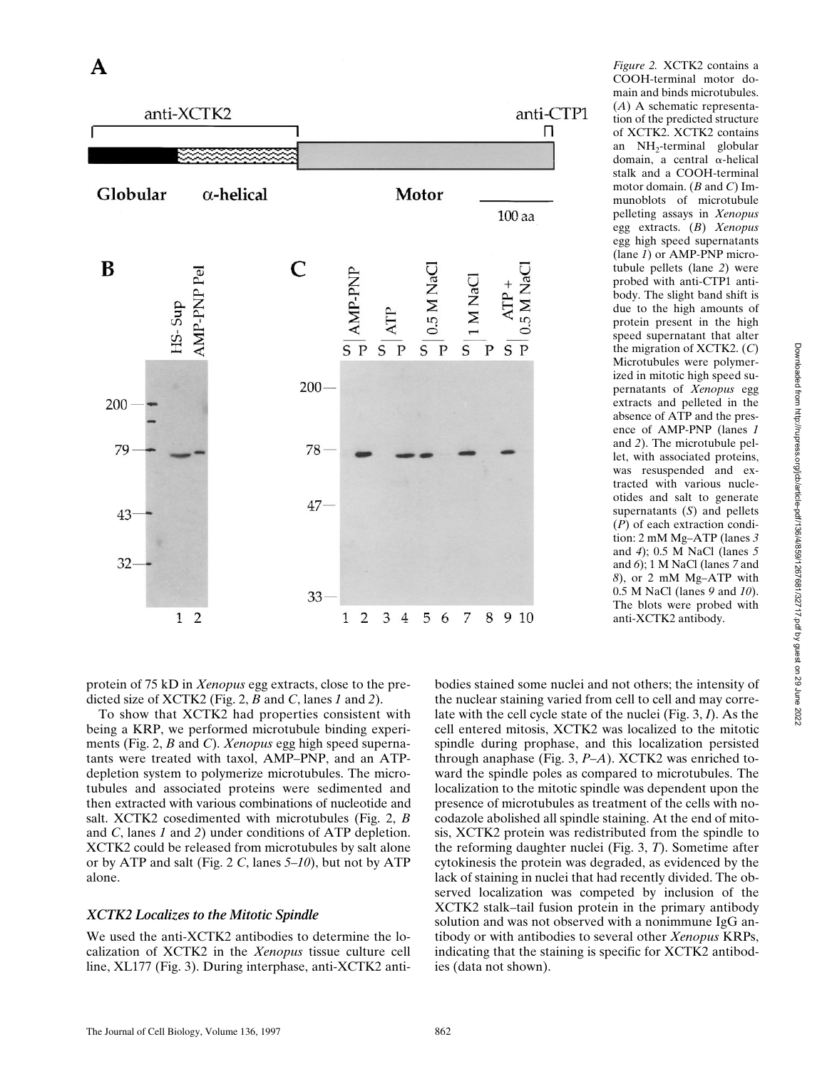

COOH-terminal motor domain and binds microtubules. (*A*) A schematic representation of the predicted structure of XCTK2. XCTK2 contains an NH2-terminal globular domain, a central a-helical stalk and a COOH-terminal motor domain. (*B* and *C*) Immunoblots of microtubule pelleting assays in *Xenopus* egg extracts. (*B*) *Xenopus* egg high speed supernatants (lane *1*) or AMP-PNP microtubule pellets (lane *2*) were probed with anti-CTP1 antibody. The slight band shift is due to the high amounts of protein present in the high speed supernatant that alter the migration of XCTK2. (*C*) Microtubules were polymerized in mitotic high speed supernatants of *Xenopus* egg extracts and pelleted in the absence of ATP and the presence of AMP-PNP (lanes *1* and *2*). The microtubule pellet, with associated proteins, was resuspended and extracted with various nucleotides and salt to generate supernatants (*S*) and pellets (*P*) of each extraction condition: 2 mM Mg–ATP (lanes *3* and *4*); 0.5 M NaCl (lanes *5* and *6*); 1 M NaCl (lanes *7* and *8*), or 2 mM Mg–ATP with 0.5 M NaCl (lanes *9* and *10*). The blots were probed with anti-XCTK2 antibody.

*Figure 2.* XCTK2 contains a

protein of 75 kD in *Xenopus* egg extracts, close to the predicted size of XCTK2 (Fig. 2, *B* and *C*, lanes *1* and *2*).

To show that XCTK2 had properties consistent with being a KRP, we performed microtubule binding experiments (Fig. 2, *B* and *C*). *Xenopus* egg high speed supernatants were treated with taxol, AMP–PNP, and an ATPdepletion system to polymerize microtubules. The microtubules and associated proteins were sedimented and then extracted with various combinations of nucleotide and salt. XCTK2 cosedimented with microtubules (Fig. 2, *B* and *C*, lanes *1* and *2*) under conditions of ATP depletion. XCTK2 could be released from microtubules by salt alone or by ATP and salt (Fig. 2 *C*, lanes *5–10*), but not by ATP alone.

## *XCTK2 Localizes to the Mitotic Spindle*

We used the anti-XCTK2 antibodies to determine the localization of XCTK2 in the *Xenopus* tissue culture cell line, XL177 (Fig. 3). During interphase, anti-XCTK2 anti-

bodies stained some nuclei and not others; the intensity of the nuclear staining varied from cell to cell and may correlate with the cell cycle state of the nuclei (Fig. 3, *I*). As the cell entered mitosis, XCTK2 was localized to the mitotic spindle during prophase, and this localization persisted through anaphase (Fig. 3, *P–A*). XCTK2 was enriched toward the spindle poles as compared to microtubules. The localization to the mitotic spindle was dependent upon the presence of microtubules as treatment of the cells with nocodazole abolished all spindle staining. At the end of mitosis, XCTK2 protein was redistributed from the spindle to the reforming daughter nuclei (Fig. 3, *T*). Sometime after cytokinesis the protein was degraded, as evidenced by the lack of staining in nuclei that had recently divided. The observed localization was competed by inclusion of the XCTK2 stalk–tail fusion protein in the primary antibody solution and was not observed with a nonimmune IgG antibody or with antibodies to several other *Xenopus* KRPs, indicating that the staining is specific for XCTK2 antibodies (data not shown).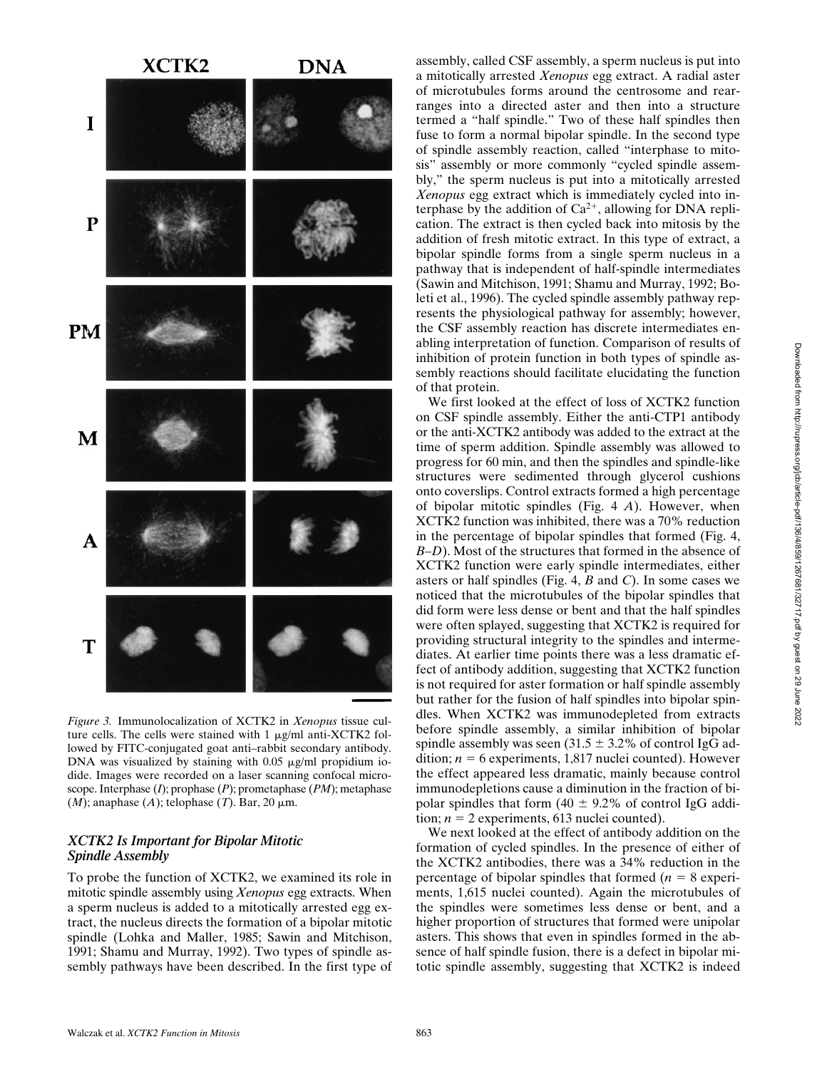

*Figure 3.* Immunolocalization of XCTK2 in *Xenopus* tissue culture cells. The cells were stained with  $1 \mu g/ml$  anti-XCTK2 followed by FITC-conjugated goat anti–rabbit secondary antibody. DNA was visualized by staining with  $0.05 \mu g/ml$  propidium iodide. Images were recorded on a laser scanning confocal microscope. Interphase (*I*); prophase (*P*); prometaphase (*PM*); metaphase  $(M)$ ; anaphase  $(A)$ ; telophase  $(T)$ . Bar, 20  $\mu$ m.

#### *XCTK2 Is Important for Bipolar Mitotic Spindle Assembly*

To probe the function of XCTK2, we examined its role in mitotic spindle assembly using *Xenopus* egg extracts. When a sperm nucleus is added to a mitotically arrested egg extract, the nucleus directs the formation of a bipolar mitotic spindle (Lohka and Maller, 1985; Sawin and Mitchison, 1991; Shamu and Murray, 1992). Two types of spindle assembly pathways have been described. In the first type of assembly, called CSF assembly, a sperm nucleus is put into a mitotically arrested *Xenopus* egg extract. A radial aster of microtubules forms around the centrosome and rearranges into a directed aster and then into a structure termed a "half spindle." Two of these half spindles then fuse to form a normal bipolar spindle. In the second type of spindle assembly reaction, called "interphase to mitosis" assembly or more commonly "cycled spindle assembly," the sperm nucleus is put into a mitotically arrested *Xenopus* egg extract which is immediately cycled into interphase by the addition of  $Ca^{2+}$ , allowing for DNA replication. The extract is then cycled back into mitosis by the addition of fresh mitotic extract. In this type of extract, a bipolar spindle forms from a single sperm nucleus in a pathway that is independent of half-spindle intermediates (Sawin and Mitchison, 1991; Shamu and Murray, 1992; Boleti et al., 1996). The cycled spindle assembly pathway represents the physiological pathway for assembly; however, the CSF assembly reaction has discrete intermediates enabling interpretation of function. Comparison of results of inhibition of protein function in both types of spindle assembly reactions should facilitate elucidating the function of that protein.

We first looked at the effect of loss of XCTK2 function on CSF spindle assembly. Either the anti-CTP1 antibody or the anti-XCTK2 antibody was added to the extract at the time of sperm addition. Spindle assembly was allowed to progress for 60 min, and then the spindles and spindle-like structures were sedimented through glycerol cushions onto coverslips. Control extracts formed a high percentage of bipolar mitotic spindles (Fig. 4 *A*). However, when XCTK2 function was inhibited, there was a 70% reduction in the percentage of bipolar spindles that formed (Fig. 4, *B–D*). Most of the structures that formed in the absence of XCTK2 function were early spindle intermediates, either asters or half spindles (Fig. 4, *B* and *C*). In some cases we noticed that the microtubules of the bipolar spindles that did form were less dense or bent and that the half spindles were often splayed, suggesting that XCTK2 is required for providing structural integrity to the spindles and intermediates. At earlier time points there was a less dramatic effect of antibody addition, suggesting that XCTK2 function is not required for aster formation or half spindle assembly but rather for the fusion of half spindles into bipolar spindles. When XCTK2 was immunodepleted from extracts before spindle assembly, a similar inhibition of bipolar spindle assembly was seen  $(31.5 \pm 3.2\%$  of control IgG addition;  $n = 6$  experiments, 1,817 nuclei counted). However the effect appeared less dramatic, mainly because control immunodepletions cause a diminution in the fraction of bipolar spindles that form  $(40 \pm 9.2\%$  of control IgG addition;  $n = 2$  experiments, 613 nuclei counted).

We next looked at the effect of antibody addition on the formation of cycled spindles. In the presence of either of the XCTK2 antibodies, there was a 34% reduction in the percentage of bipolar spindles that formed  $(n = 8 \text{ experi-}$ ments, 1,615 nuclei counted). Again the microtubules of the spindles were sometimes less dense or bent, and a higher proportion of structures that formed were unipolar asters. This shows that even in spindles formed in the absence of half spindle fusion, there is a defect in bipolar mitotic spindle assembly, suggesting that XCTK2 is indeed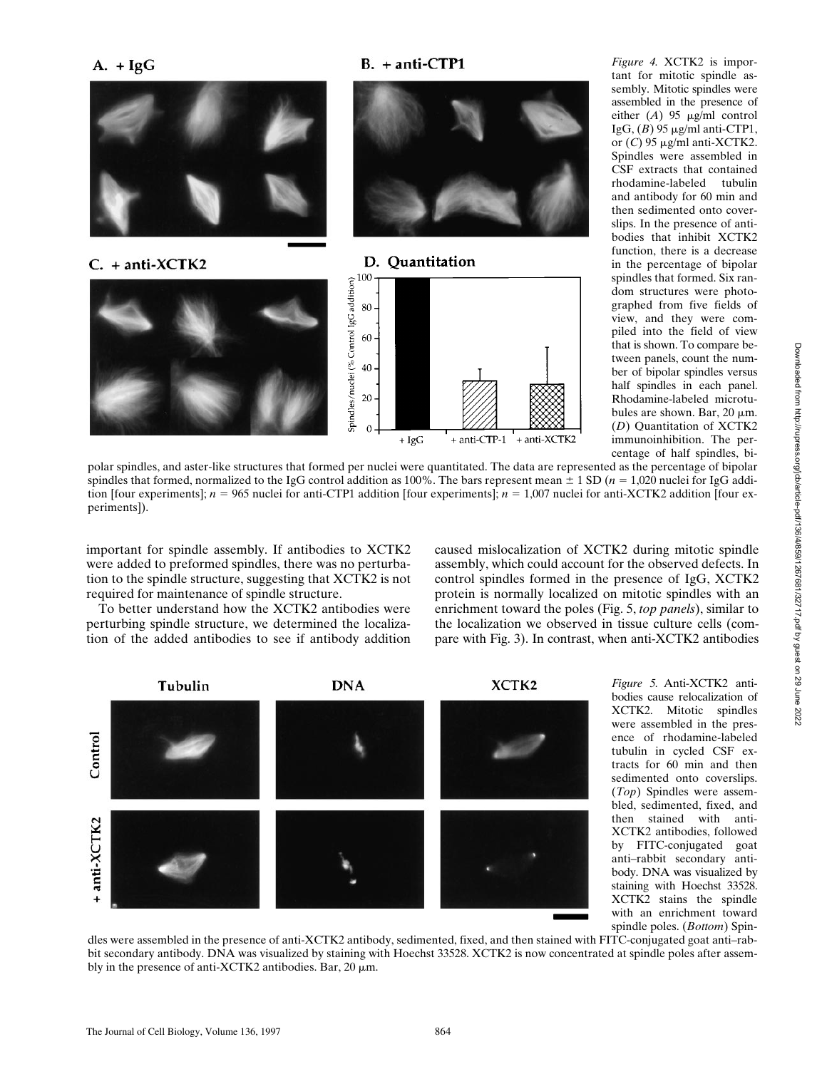$B. + anti-CTP1$ 



*Figure 4.* XCTK2 is important for mitotic spindle assembly. Mitotic spindles were assembled in the presence of either  $(A)$  95  $\mu$ g/ml control IgG,  $(B)$  95  $\mu$ g/ml anti-CTP1, or  $(C)$  95  $\mu$ g/ml anti-XCTK2. Spindles were assembled in CSF extracts that contained rhodamine-labeled tubulin and antibody for 60 min and then sedimented onto coverslips. In the presence of antibodies that inhibit XCTK2 function, there is a decrease in the percentage of bipolar spindles that formed. Six random structures were photographed from five fields of view, and they were compiled into the field of view that is shown. To compare between panels, count the number of bipolar spindles versus half spindles in each panel. Rhodamine-labeled microtubules are shown. Bar,  $20 \mu m$ . (*D*) Quantitation of XCTK2 immunoinhibition. The percentage of half spindles, bi-

polar spindles, and aster-like structures that formed per nuclei were quantitated. The data are represented as the percentage of bipolar spindles that formed, normalized to the IgG control addition as 100%. The bars represent mean  $\pm$  1 SD ( $n = 1,020$  nuclei for IgG addition [four experiments];  $n = 965$  nuclei for anti-CTP1 addition [four experiments];  $n = 1,007$  nuclei for anti-XCTK2 addition [four experiments]).

important for spindle assembly. If antibodies to XCTK2 were added to preformed spindles, there was no perturbation to the spindle structure, suggesting that XCTK2 is not required for maintenance of spindle structure.

To better understand how the XCTK2 antibodies were perturbing spindle structure, we determined the localization of the added antibodies to see if antibody addition caused mislocalization of XCTK2 during mitotic spindle assembly, which could account for the observed defects. In control spindles formed in the presence of IgG, XCTK2 protein is normally localized on mitotic spindles with an enrichment toward the poles (Fig. 5, *top panels*), similar to the localization we observed in tissue culture cells (compare with Fig. 3). In contrast, when anti-XCTK2 antibodies



*Figure 5.* Anti-XCTK2 antibodies cause relocalization of XCTK2. Mitotic spindles were assembled in the presence of rhodamine-labeled tubulin in cycled CSF extracts for 60 min and then sedimented onto coverslips. (*Top*) Spindles were assembled, sedimented, fixed, and then stained with anti-XCTK2 antibodies, followed by FITC-conjugated goat anti–rabbit secondary antibody. DNA was visualized by staining with Hoechst 33528. XCTK2 stains the spindle with an enrichment toward spindle poles. (*Bottom*) Spin-

dles were assembled in the presence of anti-XCTK2 antibody, sedimented, fixed, and then stained with FITC-conjugated goat anti–rabbit secondary antibody. DNA was visualized by staining with Hoechst 33528. XCTK2 is now concentrated at spindle poles after assembly in the presence of anti-XCTK2 antibodies. Bar,  $20 \mu m$ .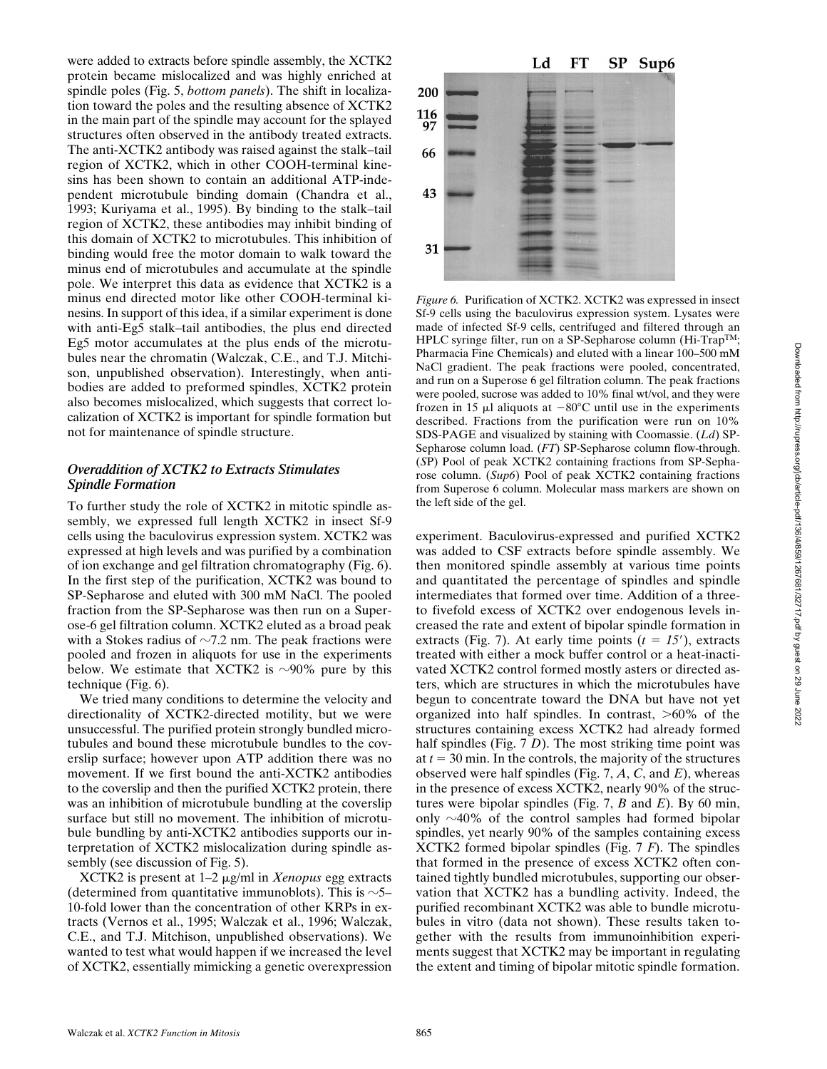Downloaded from http://rupress.org/jcb/article-pdf/136/4/859/1267681/32717.pdf by guest on 29 June 2022 Downloaded from http://rupress.org/jcb/article-pdf/136/4/859/1267681/32717.pdf by guest on 29 June 2022

were added to extracts before spindle assembly, the XCTK2 protein became mislocalized and was highly enriched at spindle poles (Fig. 5, *bottom panels*). The shift in localization toward the poles and the resulting absence of XCTK2 in the main part of the spindle may account for the splayed structures often observed in the antibody treated extracts. The anti-XCTK2 antibody was raised against the stalk–tail region of XCTK2, which in other COOH-terminal kinesins has been shown to contain an additional ATP-independent microtubule binding domain (Chandra et al., 1993; Kuriyama et al., 1995). By binding to the stalk–tail region of XCTK2, these antibodies may inhibit binding of this domain of XCTK2 to microtubules. This inhibition of binding would free the motor domain to walk toward the minus end of microtubules and accumulate at the spindle pole. We interpret this data as evidence that XCTK2 is a minus end directed motor like other COOH-terminal kinesins. In support of this idea, if a similar experiment is done with anti-Eg5 stalk–tail antibodies, the plus end directed Eg5 motor accumulates at the plus ends of the microtubules near the chromatin (Walczak, C.E., and T.J. Mitchison, unpublished observation). Interestingly, when antibodies are added to preformed spindles, XCTK2 protein also becomes mislocalized, which suggests that correct localization of XCTK2 is important for spindle formation but not for maintenance of spindle structure.

## *Overaddition of XCTK2 to Extracts Stimulates Spindle Formation*

To further study the role of XCTK2 in mitotic spindle assembly, we expressed full length XCTK2 in insect Sf-9 cells using the baculovirus expression system. XCTK2 was expressed at high levels and was purified by a combination of ion exchange and gel filtration chromatography (Fig. 6). In the first step of the purification, XCTK2 was bound to SP-Sepharose and eluted with 300 mM NaCl. The pooled fraction from the SP-Sepharose was then run on a Superose-6 gel filtration column. XCTK2 eluted as a broad peak with a Stokes radius of  $\sim$ 7.2 nm. The peak fractions were pooled and frozen in aliquots for use in the experiments below. We estimate that XCTK2 is  $\sim$ 90% pure by this technique (Fig. 6).

We tried many conditions to determine the velocity and directionality of XCTK2-directed motility, but we were unsuccessful. The purified protein strongly bundled microtubules and bound these microtubule bundles to the coverslip surface; however upon ATP addition there was no movement. If we first bound the anti-XCTK2 antibodies to the coverslip and then the purified XCTK2 protein, there was an inhibition of microtubule bundling at the coverslip surface but still no movement. The inhibition of microtubule bundling by anti-XCTK2 antibodies supports our interpretation of XCTK2 mislocalization during spindle assembly (see discussion of Fig. 5).

XCTK2 is present at 1–2 mg/ml in *Xenopus* egg extracts (determined from quantitative immunoblots). This is  $\sim$ 5– 10-fold lower than the concentration of other KRPs in extracts (Vernos et al., 1995; Walczak et al., 1996; Walczak, C.E., and T.J. Mitchison, unpublished observations). We wanted to test what would happen if we increased the level of XCTK2, essentially mimicking a genetic overexpression



*Figure 6.* Purification of XCTK2. XCTK2 was expressed in insect Sf-9 cells using the baculovirus expression system. Lysates were made of infected Sf-9 cells, centrifuged and filtered through an HPLC syringe filter, run on a SP-Sepharose column (Hi-Trap<sup>TM</sup>; Pharmacia Fine Chemicals) and eluted with a linear 100–500 mM NaCl gradient. The peak fractions were pooled, concentrated, and run on a Superose 6 gel filtration column. The peak fractions were pooled, sucrose was added to 10% final wt/vol, and they were frozen in 15  $\mu$ l aliquots at  $-80^{\circ}$ C until use in the experiments described. Fractions from the purification were run on 10% SDS-PAGE and visualized by staining with Coomassie. (*Ld*) SP-Sepharose column load. (*FT*) SP-Sepharose column flow-through. (*S*P) Pool of peak XCTK2 containing fractions from SP-Sepharose column. (*Sup6*) Pool of peak XCTK2 containing fractions from Superose 6 column. Molecular mass markers are shown on the left side of the gel.

experiment. Baculovirus-expressed and purified XCTK2 was added to CSF extracts before spindle assembly. We then monitored spindle assembly at various time points and quantitated the percentage of spindles and spindle intermediates that formed over time. Addition of a threeto fivefold excess of XCTK2 over endogenous levels increased the rate and extent of bipolar spindle formation in extracts (Fig. 7). At early time points  $(t = 15)$ , extracts treated with either a mock buffer control or a heat-inactivated XCTK2 control formed mostly asters or directed asters, which are structures in which the microtubules have begun to concentrate toward the DNA but have not yet organized into half spindles. In contrast,  $>60\%$  of the structures containing excess XCTK2 had already formed half spindles (Fig. 7 *D*). The most striking time point was at  $t = 30$  min. In the controls, the majority of the structures observed were half spindles (Fig. 7, *A*, *C*, and *E*), whereas in the presence of excess XCTK2, nearly 90% of the structures were bipolar spindles (Fig. 7, *B* and *E*). By 60 min, only  $\sim$ 40% of the control samples had formed bipolar spindles, yet nearly 90% of the samples containing excess XCTK2 formed bipolar spindles (Fig. 7 *F*). The spindles that formed in the presence of excess XCTK2 often contained tightly bundled microtubules, supporting our observation that XCTK2 has a bundling activity. Indeed, the purified recombinant XCTK2 was able to bundle microtubules in vitro (data not shown). These results taken together with the results from immunoinhibition experiments suggest that XCTK2 may be important in regulating the extent and timing of bipolar mitotic spindle formation.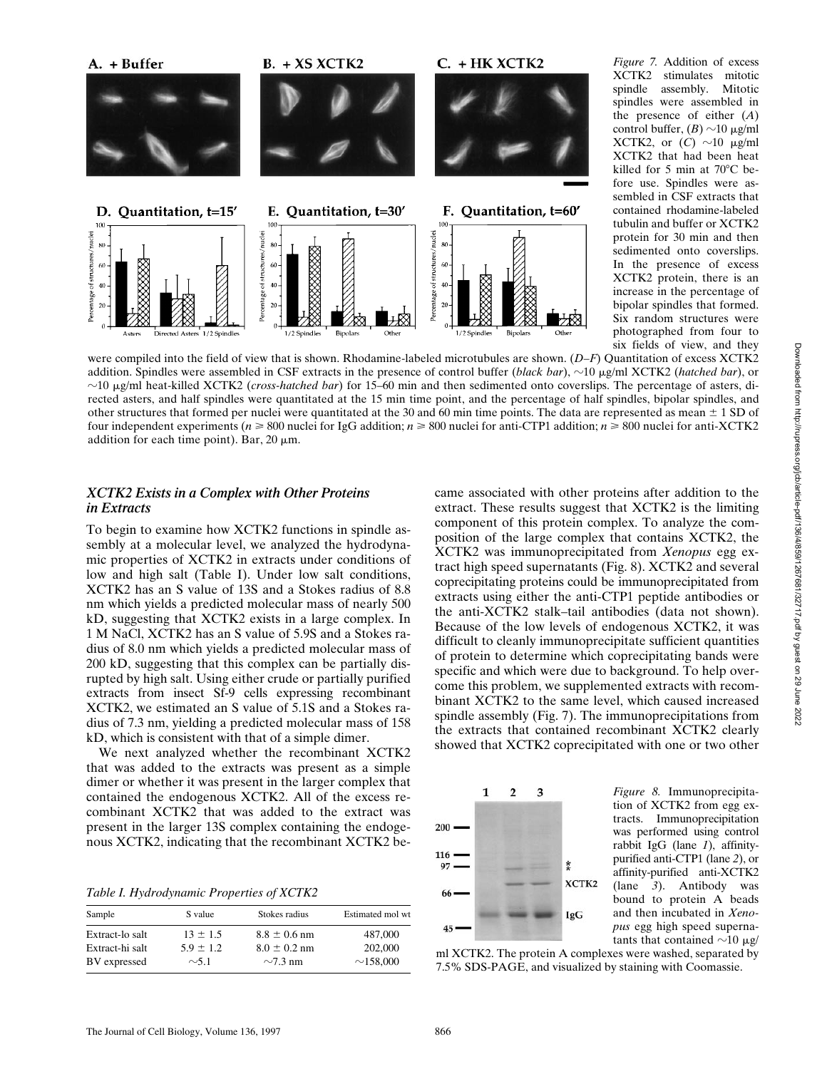

*Figure 7.* Addition of excess XCTK2 stimulates mitotic spindle assembly. Mitotic spindles were assembled in the presence of either (*A*) control buffer,  $(B) \sim 10 \mu g/ml$ XCTK2, or  $(C) \sim 10 \mu g/ml$ XCTK2 that had been heat killed for 5 min at 70 $^{\circ}$ C before use. Spindles were assembled in CSF extracts that contained rhodamine-labeled tubulin and buffer or XCTK2 protein for 30 min and then sedimented onto coverslips. In the presence of excess XCTK2 protein, there is an increase in the percentage of bipolar spindles that formed. Six random structures were photographed from four to six fields of view, and they

were compiled into the field of view that is shown. Rhodamine-labeled microtubules are shown. (*D–F*) Quantitation of excess XCTK2 addition. Spindles were assembled in CSF extracts in the presence of control buffer (*black bar*),  $\sim$ 10 µg/ml XCTK2 (*hatched bar*), or z10 mg/ml heat-killed XCTK2 (*cross-hatched bar*) for 15–60 min and then sedimented onto coverslips. The percentage of asters, directed asters, and half spindles were quantitated at the 15 min time point, and the percentage of half spindles, bipolar spindles, and other structures that formed per nuclei were quantitated at the 30 and 60 min time points. The data are represented as mean  $\pm$  1 SD of four independent experiments (*n* > 800 nuclei for IgG addition; *n* > 800 nuclei for anti-CTP1 addition; *n* > 800 nuclei for anti-XCTK2 addition for each time point). Bar,  $20 \mu m$ .

## *XCTK2 Exists in a Complex with Other Proteins in Extracts*

To begin to examine how XCTK2 functions in spindle assembly at a molecular level, we analyzed the hydrodynamic properties of XCTK2 in extracts under conditions of low and high salt (Table I). Under low salt conditions, XCTK2 has an S value of 13S and a Stokes radius of 8.8 nm which yields a predicted molecular mass of nearly 500 kD, suggesting that XCTK2 exists in a large complex. In 1 M NaCl, XCTK2 has an S value of 5.9S and a Stokes radius of 8.0 nm which yields a predicted molecular mass of 200 kD, suggesting that this complex can be partially disrupted by high salt. Using either crude or partially purified extracts from insect Sf-9 cells expressing recombinant XCTK2, we estimated an S value of 5.1S and a Stokes radius of 7.3 nm, yielding a predicted molecular mass of 158 kD, which is consistent with that of a simple dimer.

We next analyzed whether the recombinant XCTK2 that was added to the extracts was present as a simple dimer or whether it was present in the larger complex that contained the endogenous XCTK2. All of the excess recombinant XCTK2 that was added to the extract was present in the larger 13S complex containing the endogenous XCTK2, indicating that the recombinant XCTK2 be-

*Table I. Hydrodynamic Properties of XCTK2*

| Sample          | S value       | Stokes radius    | Estimated mol wt |
|-----------------|---------------|------------------|------------------|
| Extract-lo salt | $13 \pm 1.5$  | $8.8 \pm 0.6$ nm | 487,000          |
| Extract-hi salt | $5.9 \pm 1.2$ | $8.0 \pm 0.2$ nm | 202,000          |
| BV expressed    | $\sim$ 5.1    | $\sim$ 7.3 nm    | $\sim$ 158,000   |

came associated with other proteins after addition to the extract. These results suggest that XCTK2 is the limiting component of this protein complex. To analyze the composition of the large complex that contains XCTK2, the XCTK2 was immunoprecipitated from *Xenopus* egg extract high speed supernatants (Fig. 8). XCTK2 and several coprecipitating proteins could be immunoprecipitated from extracts using either the anti-CTP1 peptide antibodies or the anti-XCTK2 stalk–tail antibodies (data not shown). Because of the low levels of endogenous XCTK2, it was difficult to cleanly immunoprecipitate sufficient quantities of protein to determine which coprecipitating bands were specific and which were due to background. To help overcome this problem, we supplemented extracts with recombinant XCTK2 to the same level, which caused increased spindle assembly (Fig. 7). The immunoprecipitations from the extracts that contained recombinant XCTK2 clearly showed that XCTK2 coprecipitated with one or two other



*Figure 8.* Immunoprecipitation of XCTK2 from egg extracts. Immunoprecipitation was performed using control rabbit IgG (lane *1*), affinitypurified anti-CTP1 (lane *2*), or affinity-purified anti-XCTK2 (lane *3*). Antibody was bound to protein A beads and then incubated in *Xenopus* egg high speed supernatants that contained  $\sim$ 10 µg/

ml XCTK2. The protein A complexes were washed, separated by 7.5% SDS-PAGE, and visualized by staining with Coomassie.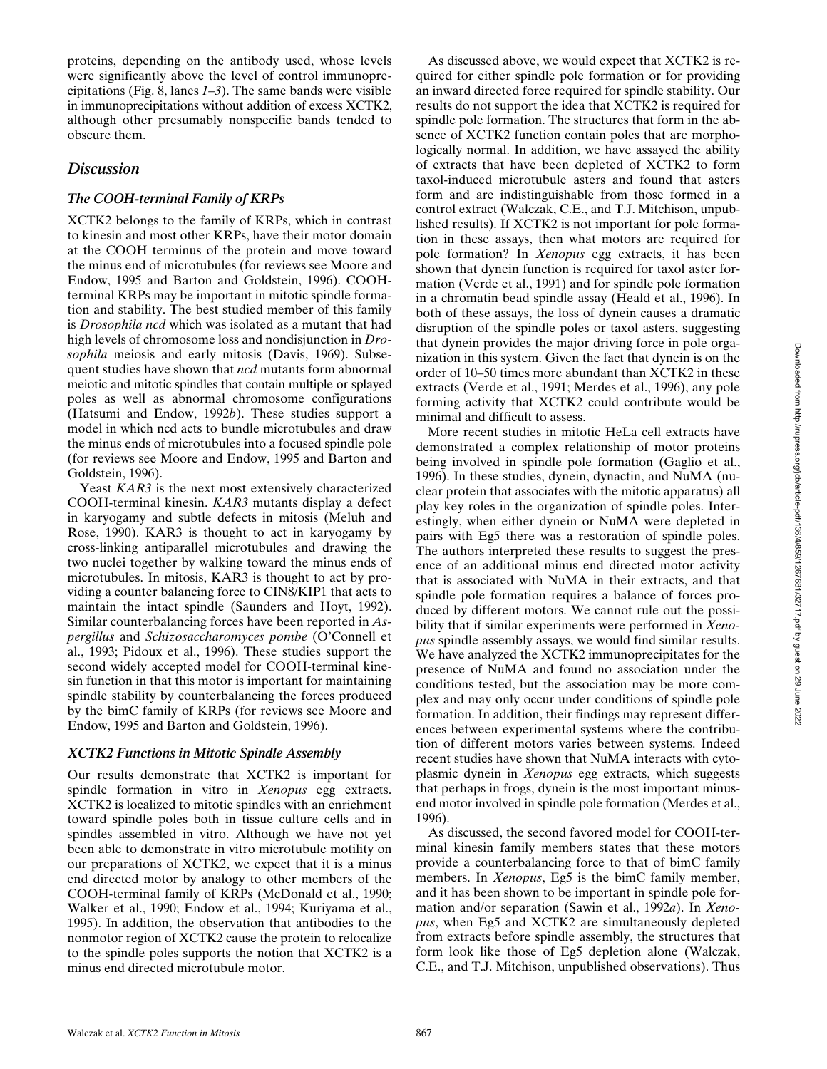proteins, depending on the antibody used, whose levels were significantly above the level of control immunoprecipitations (Fig. 8, lanes *1–3*). The same bands were visible in immunoprecipitations without addition of excess XCTK2, although other presumably nonspecific bands tended to obscure them.

## *Discussion*

## *The COOH-terminal Family of KRPs*

XCTK2 belongs to the family of KRPs, which in contrast to kinesin and most other KRPs, have their motor domain at the COOH terminus of the protein and move toward the minus end of microtubules (for reviews see Moore and Endow, 1995 and Barton and Goldstein, 1996). COOHterminal KRPs may be important in mitotic spindle formation and stability. The best studied member of this family is *Drosophila ncd* which was isolated as a mutant that had high levels of chromosome loss and nondisjunction in *Drosophila* meiosis and early mitosis (Davis, 1969). Subsequent studies have shown that *ncd* mutants form abnormal meiotic and mitotic spindles that contain multiple or splayed poles as well as abnormal chromosome configurations (Hatsumi and Endow, 1992*b*). These studies support a model in which ncd acts to bundle microtubules and draw the minus ends of microtubules into a focused spindle pole (for reviews see Moore and Endow, 1995 and Barton and Goldstein, 1996).

Yeast *KAR3* is the next most extensively characterized COOH-terminal kinesin. *KAR3* mutants display a defect in karyogamy and subtle defects in mitosis (Meluh and Rose, 1990). KAR3 is thought to act in karyogamy by cross-linking antiparallel microtubules and drawing the two nuclei together by walking toward the minus ends of microtubules. In mitosis, KAR3 is thought to act by providing a counter balancing force to CIN8/KIP1 that acts to maintain the intact spindle (Saunders and Hoyt, 1992). Similar counterbalancing forces have been reported in *Aspergillus* and *Schizosaccharomyces pombe* (O'Connell et al., 1993; Pidoux et al., 1996). These studies support the second widely accepted model for COOH-terminal kinesin function in that this motor is important for maintaining spindle stability by counterbalancing the forces produced by the bimC family of KRPs (for reviews see Moore and Endow, 1995 and Barton and Goldstein, 1996).

## *XCTK2 Functions in Mitotic Spindle Assembly*

Our results demonstrate that XCTK2 is important for spindle formation in vitro in *Xenopus* egg extracts. XCTK2 is localized to mitotic spindles with an enrichment toward spindle poles both in tissue culture cells and in spindles assembled in vitro. Although we have not yet been able to demonstrate in vitro microtubule motility on our preparations of XCTK2, we expect that it is a minus end directed motor by analogy to other members of the COOH-terminal family of KRPs (McDonald et al., 1990; Walker et al., 1990; Endow et al., 1994; Kuriyama et al., 1995). In addition, the observation that antibodies to the nonmotor region of XCTK2 cause the protein to relocalize to the spindle poles supports the notion that XCTK2 is a minus end directed microtubule motor.

As discussed above, we would expect that XCTK2 is required for either spindle pole formation or for providing an inward directed force required for spindle stability. Our results do not support the idea that XCTK2 is required for spindle pole formation. The structures that form in the absence of XCTK2 function contain poles that are morphologically normal. In addition, we have assayed the ability of extracts that have been depleted of XCTK2 to form taxol-induced microtubule asters and found that asters form and are indistinguishable from those formed in a control extract (Walczak, C.E., and T.J. Mitchison, unpublished results). If XCTK2 is not important for pole formation in these assays, then what motors are required for pole formation? In *Xenopus* egg extracts, it has been shown that dynein function is required for taxol aster formation (Verde et al., 1991) and for spindle pole formation in a chromatin bead spindle assay (Heald et al., 1996). In both of these assays, the loss of dynein causes a dramatic disruption of the spindle poles or taxol asters, suggesting that dynein provides the major driving force in pole organization in this system. Given the fact that dynein is on the order of 10–50 times more abundant than XCTK2 in these extracts (Verde et al., 1991; Merdes et al., 1996), any pole forming activity that XCTK2 could contribute would be minimal and difficult to assess.

More recent studies in mitotic HeLa cell extracts have demonstrated a complex relationship of motor proteins being involved in spindle pole formation (Gaglio et al., 1996). In these studies, dynein, dynactin, and NuMA (nuclear protein that associates with the mitotic apparatus) all play key roles in the organization of spindle poles. Interestingly, when either dynein or NuMA were depleted in pairs with Eg5 there was a restoration of spindle poles. The authors interpreted these results to suggest the presence of an additional minus end directed motor activity that is associated with NuMA in their extracts, and that spindle pole formation requires a balance of forces produced by different motors. We cannot rule out the possibility that if similar experiments were performed in *Xenopus* spindle assembly assays, we would find similar results. We have analyzed the XCTK2 immunoprecipitates for the presence of NuMA and found no association under the conditions tested, but the association may be more complex and may only occur under conditions of spindle pole formation. In addition, their findings may represent differences between experimental systems where the contribution of different motors varies between systems. Indeed recent studies have shown that NuMA interacts with cytoplasmic dynein in *Xenopus* egg extracts, which suggests that perhaps in frogs, dynein is the most important minusend motor involved in spindle pole formation (Merdes et al., 1996).

As discussed, the second favored model for COOH-terminal kinesin family members states that these motors provide a counterbalancing force to that of bimC family members. In *Xenopus*, Eg5 is the bimC family member, and it has been shown to be important in spindle pole formation and/or separation (Sawin et al., 1992*a*). In *Xenopus*, when Eg5 and XCTK2 are simultaneously depleted from extracts before spindle assembly, the structures that form look like those of Eg5 depletion alone (Walczak, C.E., and T.J. Mitchison, unpublished observations). Thus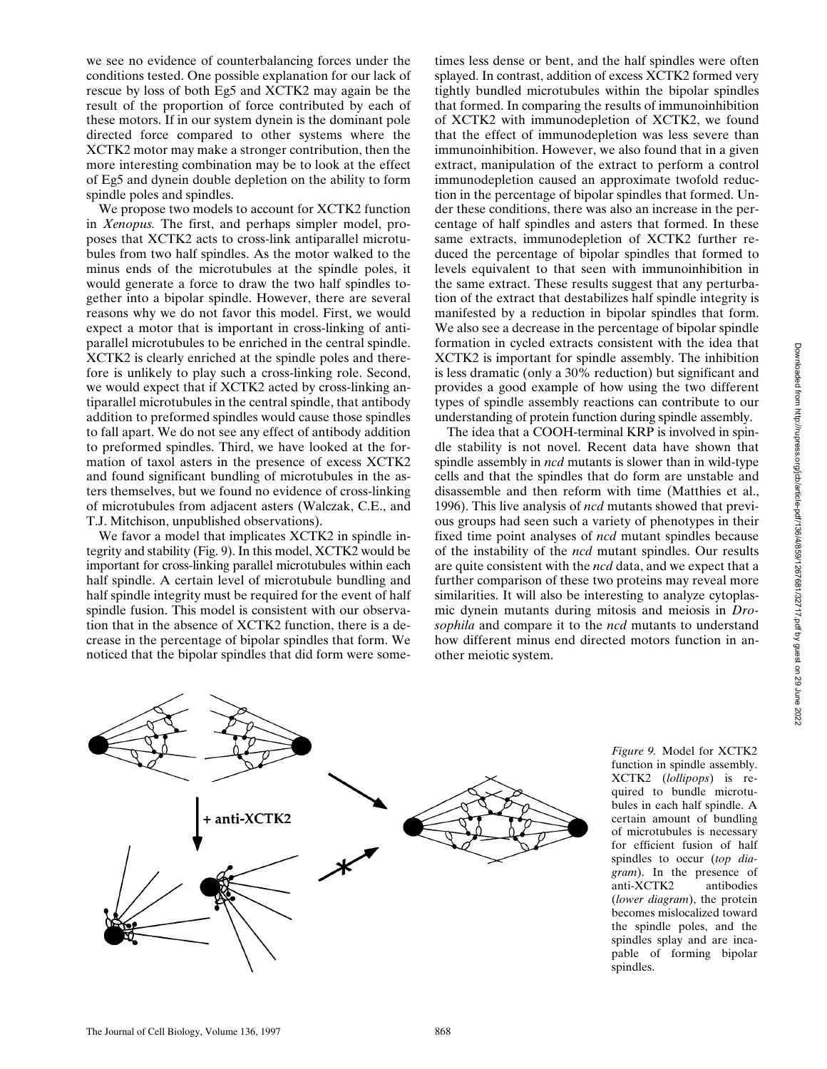we see no evidence of counterbalancing forces under the conditions tested. One possible explanation for our lack of rescue by loss of both Eg5 and XCTK2 may again be the result of the proportion of force contributed by each of these motors. If in our system dynein is the dominant pole directed force compared to other systems where the XCTK2 motor may make a stronger contribution, then the more interesting combination may be to look at the effect of Eg5 and dynein double depletion on the ability to form spindle poles and spindles.

We propose two models to account for XCTK2 function in *Xenopus.* The first, and perhaps simpler model, proposes that XCTK2 acts to cross-link antiparallel microtubules from two half spindles. As the motor walked to the minus ends of the microtubules at the spindle poles, it would generate a force to draw the two half spindles together into a bipolar spindle. However, there are several reasons why we do not favor this model. First, we would expect a motor that is important in cross-linking of antiparallel microtubules to be enriched in the central spindle. XCTK2 is clearly enriched at the spindle poles and therefore is unlikely to play such a cross-linking role. Second, we would expect that if XCTK2 acted by cross-linking antiparallel microtubules in the central spindle, that antibody addition to preformed spindles would cause those spindles to fall apart. We do not see any effect of antibody addition to preformed spindles. Third, we have looked at the formation of taxol asters in the presence of excess XCTK2 and found significant bundling of microtubules in the asters themselves, but we found no evidence of cross-linking of microtubules from adjacent asters (Walczak, C.E., and T.J. Mitchison, unpublished observations).

We favor a model that implicates XCTK2 in spindle integrity and stability (Fig. 9). In this model, XCTK2 would be important for cross-linking parallel microtubules within each half spindle. A certain level of microtubule bundling and half spindle integrity must be required for the event of half spindle fusion. This model is consistent with our observation that in the absence of XCTK2 function, there is a decrease in the percentage of bipolar spindles that form. We noticed that the bipolar spindles that did form were some-

times less dense or bent, and the half spindles were often splayed. In contrast, addition of excess XCTK2 formed very tightly bundled microtubules within the bipolar spindles that formed. In comparing the results of immunoinhibition of XCTK2 with immunodepletion of XCTK2, we found that the effect of immunodepletion was less severe than immunoinhibition. However, we also found that in a given extract, manipulation of the extract to perform a control immunodepletion caused an approximate twofold reduction in the percentage of bipolar spindles that formed. Under these conditions, there was also an increase in the percentage of half spindles and asters that formed. In these same extracts, immunodepletion of XCTK2 further reduced the percentage of bipolar spindles that formed to levels equivalent to that seen with immunoinhibition in the same extract. These results suggest that any perturbation of the extract that destabilizes half spindle integrity is manifested by a reduction in bipolar spindles that form. We also see a decrease in the percentage of bipolar spindle formation in cycled extracts consistent with the idea that XCTK2 is important for spindle assembly. The inhibition is less dramatic (only a 30% reduction) but significant and provides a good example of how using the two different types of spindle assembly reactions can contribute to our understanding of protein function during spindle assembly.

The idea that a COOH-terminal KRP is involved in spindle stability is not novel. Recent data have shown that spindle assembly in *ncd* mutants is slower than in wild-type cells and that the spindles that do form are unstable and disassemble and then reform with time (Matthies et al., 1996). This live analysis of *ncd* mutants showed that previous groups had seen such a variety of phenotypes in their fixed time point analyses of *ncd* mutant spindles because of the instability of the *ncd* mutant spindles. Our results are quite consistent with the *ncd* data, and we expect that a further comparison of these two proteins may reveal more similarities. It will also be interesting to analyze cytoplasmic dynein mutants during mitosis and meiosis in *Drosophila* and compare it to the *ncd* mutants to understand how different minus end directed motors function in another meiotic system.



*Figure 9.* Model for XCTK2 function in spindle assembly. XCTK2 (*lollipops*) is required to bundle microtubules in each half spindle. A certain amount of bundling of microtubules is necessary for efficient fusion of half spindles to occur (*top diagram*). In the presence of anti-XCTK2 antibodies (*lower diagram*), the protein becomes mislocalized toward the spindle poles, and the spindles splay and are incapable of forming bipolar spindles.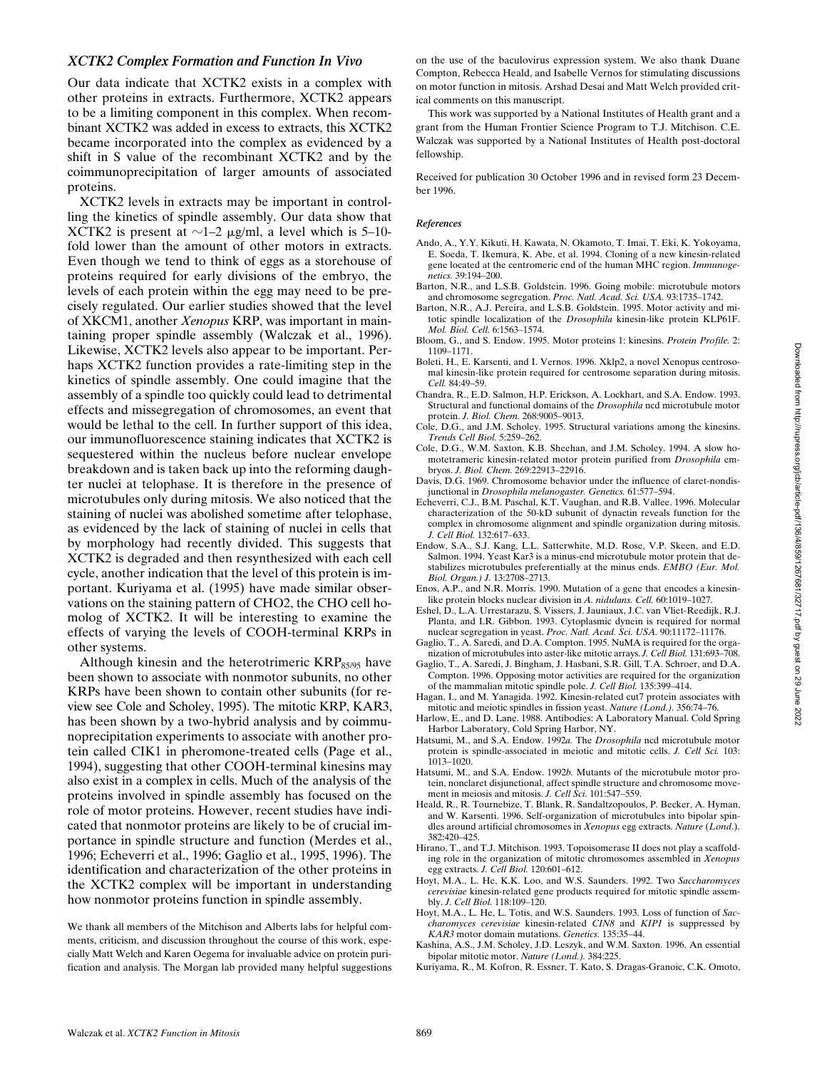## *XCTK2 Complex Formation and Function In Vivo*

Our data indicate that XCTK2 exists in a complex with other proteins in extracts. Furthermore, XCTK2 appears to be a limiting component in this complex. When recombinant XCTK2 was added in excess to extracts, this XCTK2 became incorporated into the complex as evidenced by a shift in S value of the recombinant XCTK2 and by the coimmunoprecipitation of larger amounts of associated proteins.

XCTK2 levels in extracts may be important in controlling the kinetics of spindle assembly. Our data show that XCTK2 is present at  $\sim$ 1–2  $\mu$ g/ml, a level which is 5–10fold lower than the amount of other motors in extracts. Even though we tend to think of eggs as a storehouse of proteins required for early divisions of the embryo, the levels of each protein within the egg may need to be precisely regulated. Our earlier studies showed that the level of XKCM1, another *Xenopus* KRP, was important in maintaining proper spindle assembly (Walczak et al., 1996). Likewise, XCTK2 levels also appear to be important. Perhaps XCTK2 function provides a rate-limiting step in the kinetics of spindle assembly. One could imagine that the assembly of a spindle too quickly could lead to detrimental effects and missegregation of chromosomes, an event that would be lethal to the cell. In further support of this idea, our immunofluorescence staining indicates that XCTK2 is sequestered within the nucleus before nuclear envelope breakdown and is taken back up into the reforming daughter nuclei at telophase. It is therefore in the presence of microtubules only during mitosis. We also noticed that the staining of nuclei was abolished sometime after telophase, as evidenced by the lack of staining of nuclei in cells that by morphology had recently divided. This suggests that XCTK2 is degraded and then resynthesized with each cell cycle, another indication that the level of this protein is important. Kuriyama et al. (1995) have made similar observations on the staining pattern of CHO2, the CHO cell homolog of XCTK2. It will be interesting to examine the effects of varying the levels of COOH-terminal KRPs in other systems.

Although kinesin and the heterotrimeric  $KRP_{85/95}$  have been shown to associate with nonmotor subunits, no other KRPs have been shown to contain other subunits (for review see Cole and Scholey, 1995). The mitotic KRP, KAR3, has been shown by a two-hybrid analysis and by coimmunoprecipitation experiments to associate with another protein called CIK1 in pheromone-treated cells (Page et al., 1994), suggesting that other COOH-terminal kinesins may also exist in a complex in cells. Much of the analysis of the proteins involved in spindle assembly has focused on the role of motor proteins. However, recent studies have indicated that nonmotor proteins are likely to be of crucial importance in spindle structure and function (Merdes et al., 1996; Echeverri et al., 1996; Gaglio et al., 1995, 1996). The identification and characterization of the other proteins in the XCTK2 complex will be important in understanding how nonmotor proteins function in spindle assembly.

We thank all members of the Mitchison and Alberts labs for helpful comments, criticism, and discussion throughout the course of this work, especially Matt Welch and Karen Oegema for invaluable advice on protein purification and analysis. The Morgan lab provided many helpful suggestions on the use of the baculovirus expression system. We also thank Duane Compton, Rebecca Heald, and Isabelle Vernos for stimulating discussions on motor function in mitosis. Arshad Desai and Matt Welch provided critical comments on this manuscript.

This work was supported by a National Institutes of Health grant and a grant from the Human Frontier Science Program to T.J. Mitchison. C.E. Walczak was supported by a National Institutes of Health post-doctoral fellowship.

Received for publication 30 October 1996 and in revised form 23 December 1996.

#### *References*

- Ando, A., Y.Y. Kikuti, H. Kawata, N. Okamoto, T. Imai, T. Eki, K. Yokoyama, E. Soeda, T. Ikemura, K. Abe, et al. 1994. Cloning of a new kinesin-related gene located at the centromeric end of the human MHC region. *Immunogenetics.* 39:194–200.
- Barton, N.R., and L.S.B. Goldstein. 1996. Going mobile: microtubule motors and chromosome segregation. *Proc. Natl. Acad. Sci. USA.* 93:1735–1742.
- Barton, N.R., A.J. Pereira, and L.S.B. Goldstein. 1995. Motor activity and mitotic spindle localization of the *Drosophila* kinesin-like protein KLP61F. *Mol. Biol. Cell.* 6:1563–1574.
- Bloom, G., and S. Endow. 1995. Motor proteins 1: kinesins. *Protein Profile.* 2: 1109–1171.
- Boleti, H., E. Karsenti, and I. Vernos. 1996. Xklp2, a novel Xenopus centrosomal kinesin-like protein required for centrosome separation during mitosis. *Cell.* 84:49–59.
- Chandra, R., E.D. Salmon, H.P. Erickson, A. Lockhart, and S.A. Endow. 1993. Structural and functional domains of the *Drosophila* ncd microtubule motor protein. *J. Biol. Chem.* 268:9005–9013.
- Cole, D.G., and J.M. Scholey. 1995. Structural variations among the kinesins. *Trends Cell Biol.* 5:259–262.
- Cole, D.G., W.M. Saxton, K.B. Sheehan, and J.M. Scholey. 1994. A slow homotetrameric kinesin-related motor protein purified from *Drosophila* embryos. *J. Biol. Chem.* 269:22913–22916.
- Davis, D.G. 1969. Chromosome behavior under the influence of claret-nondisjunctional in *Drosophila melanogaster. Genetics.* 61:577–594.
- Echeverri, C.J., B.M. Paschal, K.T. Vaughan, and R.B. Vallee. 1996. Molecular characterization of the 50-kD subunit of dynactin reveals function for the complex in chromosome alignment and spindle organization during mitosis. *J. Cell Biol.* 132:617–633.
- Endow, S.A., S.J. Kang, L.L. Satterwhite, M.D. Rose, V.P. Skeen, and E.D. Salmon. 1994. Yeast Kar3 is a minus-end microtubule motor protein that destabilizes microtubules preferentially at the minus ends. *EMBO (Eur. Mol. Biol. Organ.) J.* 13:2708–2713.
- Enos, A.P., and N.R. Morris. 1990. Mutation of a gene that encodes a kinesinlike protein blocks nuclear division in *A. nidulans. Cell.* 60:1019–1027.
- Eshel, D., L.A. Urrestarazu, S. Vissers, J. Jauniaux, J.C. van Vliet-Reedijk, R.J. Planta, and I.R. Gibbon. 1993. Cytoplasmic dynein is required for normal nuclear segregation in yeast. *Proc. Natl. Acad. Sci. USA.* 90:11172–11176.
- Gaglio, T., A. Saredi, and D.A. Compton. 1995. NuMA is required for the organization of microtubules into aster-like mitotic arrays. *J. Cell Biol.* 131:693–708.
- Gaglio, T., A. Saredi, J. Bingham, J. Hasbani, S.R. Gill, T.A. Schroer, and D.A. Compton. 1996. Opposing motor activities are required for the organization of the mammalian mitotic spindle pole. *J. Cell Biol.* 135:399–414.
- Hagan, I., and M. Yanagida. 1992. Kinesin-related cut7 protein associates with mitotic and meiotic spindles in fission yeast. *Nature (Lond.).* 356:74–76.
- Harlow, E., and D. Lane. 1988. Antibodies: A Laboratory Manual. Cold Spring Harbor Laboratory, Cold Spring Harbor, NY.
- Hatsumi, M., and S.A. Endow. 1992*a.* The *Drosophila* ncd microtubule motor protein is spindle-associated in meiotic and mitotic cells. *J. Cell Sci.* 103: 1013–1020.
- Hatsumi, M., and S.A. Endow. 1992*b.* Mutants of the microtubule motor protein, nonclaret disjunctional, affect spindle structure and chromosome movement in meiosis and mitosis. *J. Cell Sci.* 101:547–559.
- Heald, R., R. Tournebize, T. Blank, R. Sandaltzopoulos, P. Becker, A. Hyman, and W. Karsenti. 1996. Self-organization of microtubules into bipolar spindles around artificial chromosomes in *Xenopus* egg extracts. *Nature* (*Lond*.). 382:420–425.
- Hirano, T., and T.J. Mitchison. 1993. Topoisomerase II does not play a scaffolding role in the organization of mitotic chromosomes assembled in *Xenopus* egg extracts. *J. Cell Biol.* 120:601–612.
- Hoyt, M.A., L. He, K.K. Loo, and W.S. Saunders. 1992. Two *Saccharomyces cerevisiae* kinesin-related gene products required for mitotic spindle assembly. *J. Cell Biol.* 118:109–120.
- Hoyt, M.A., L. He, L. Totis, and W.S. Saunders. 1993. Loss of function of *Saccharomyces cerevisiae* kinesin-related *CIN8* and *KIP1* is suppressed by *KAR3* motor domain mutations. *Genetics.* 135:35–44.
- Kashina, A.S., J.M. Scholey, J.D. Leszyk, and W.M. Saxton. 1996. An essential bipolar mitotic motor. *Nature (Lond.).* 384:225.
- Kuriyama, R., M. Kofron, R. Essner, T. Kato, S. Dragas-Granoic, C.K. Omoto,